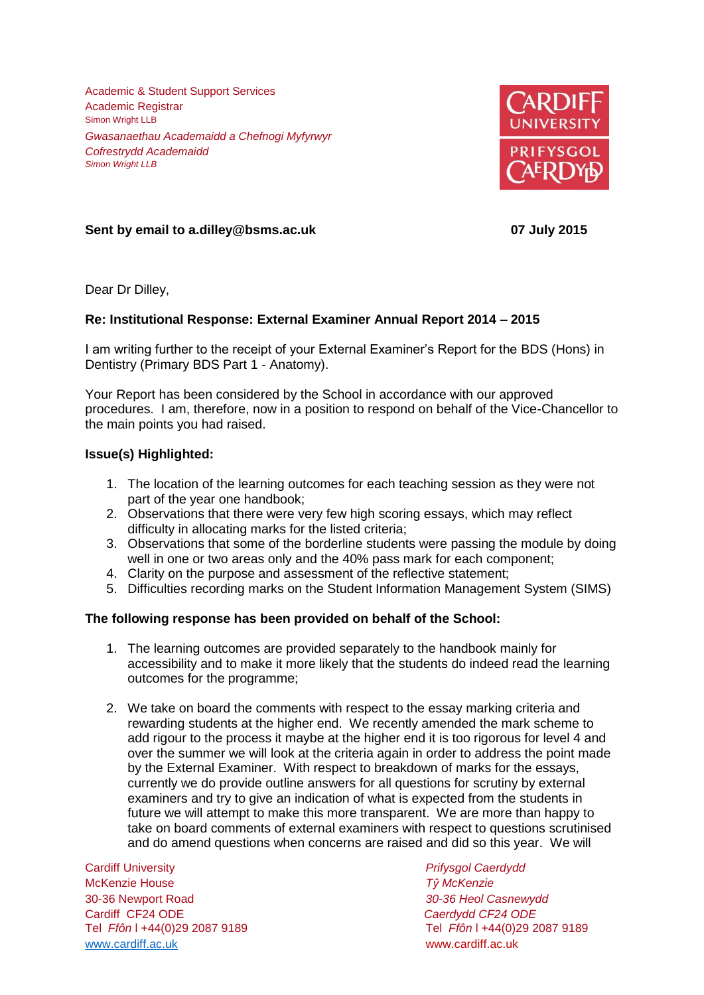Academic & Student Support Services Academic Registrar Simon Wright LLB *Gwasanaethau Academaidd a Chefnogi Myfyrwyr Cofrestrydd Academaidd Simon Wright LLB*



# **Sent by email to a.dilley@bsms.ac.uk 07 July 2015**

Dear Dr Dilley,

# **Re: Institutional Response: External Examiner Annual Report 2014 – 2015**

I am writing further to the receipt of your External Examiner's Report for the BDS (Hons) in Dentistry (Primary BDS Part 1 - Anatomy).

Your Report has been considered by the School in accordance with our approved procedures. I am, therefore, now in a position to respond on behalf of the Vice-Chancellor to the main points you had raised.

## **Issue(s) Highlighted:**

- 1. The location of the learning outcomes for each teaching session as they were not part of the year one handbook;
- 2. Observations that there were very few high scoring essays, which may reflect difficulty in allocating marks for the listed criteria;
- 3. Observations that some of the borderline students were passing the module by doing well in one or two areas only and the 40% pass mark for each component;
- 4. Clarity on the purpose and assessment of the reflective statement;
- 5. Difficulties recording marks on the Student Information Management System (SIMS)

## **The following response has been provided on behalf of the School:**

- 1. The learning outcomes are provided separately to the handbook mainly for accessibility and to make it more likely that the students do indeed read the learning outcomes for the programme;
- 2. We take on board the comments with respect to the essay marking criteria and rewarding students at the higher end. We recently amended the mark scheme to add rigour to the process it maybe at the higher end it is too rigorous for level 4 and over the summer we will look at the criteria again in order to address the point made by the External Examiner. With respect to breakdown of marks for the essays, currently we do provide outline answers for all questions for scrutiny by external examiners and try to give an indication of what is expected from the students in future we will attempt to make this more transparent. We are more than happy to take on board comments of external examiners with respect to questions scrutinised and do amend questions when concerns are raised and did so this year. We will

Cardiff University *Prifysgol Caerdydd* McKenzie House *Tŷ McKenzie* 30-36 Newport Road *30-36 Heol Casnewydd* Cardiff CF24 ODE *Caerdydd CF24 ODE* [www.cardiff.ac.uk](http://www.cardiff.ac.uk/) www.cardiff.ac.uk

Tel *Ffôn* l +44(0)29 2087 9189 Tel *Ffôn* l +44(0)29 2087 9189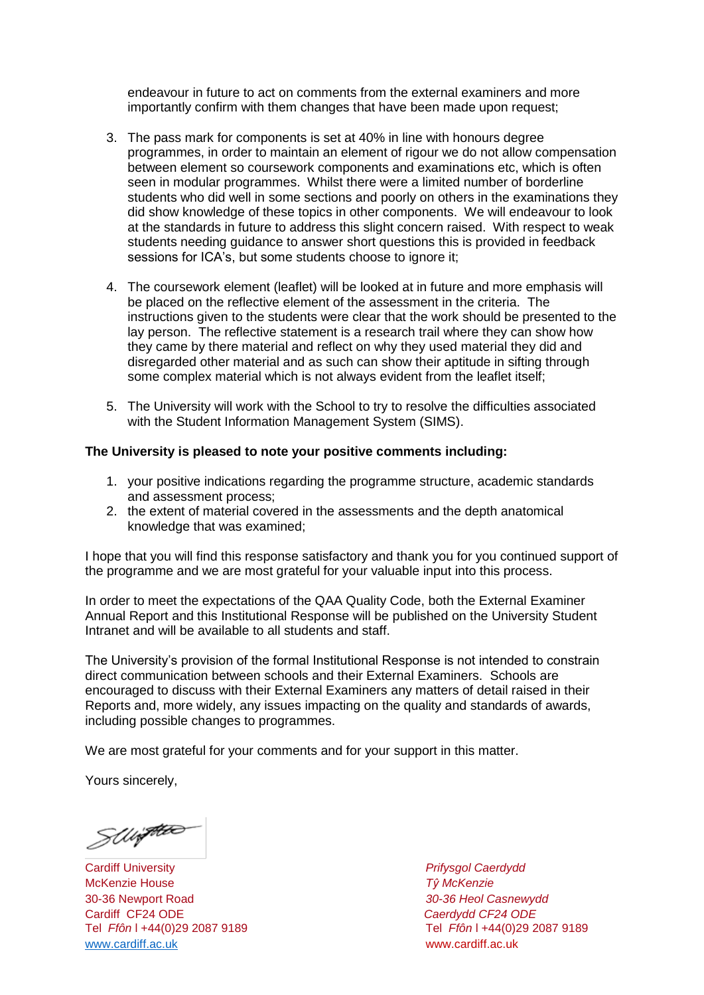endeavour in future to act on comments from the external examiners and more importantly confirm with them changes that have been made upon request;

- 3. The pass mark for components is set at 40% in line with honours degree programmes, in order to maintain an element of rigour we do not allow compensation between element so coursework components and examinations etc, which is often seen in modular programmes. Whilst there were a limited number of borderline students who did well in some sections and poorly on others in the examinations they did show knowledge of these topics in other components. We will endeavour to look at the standards in future to address this slight concern raised. With respect to weak students needing guidance to answer short questions this is provided in feedback sessions for ICA's, but some students choose to ignore it;
- 4. The coursework element (leaflet) will be looked at in future and more emphasis will be placed on the reflective element of the assessment in the criteria. The instructions given to the students were clear that the work should be presented to the lay person. The reflective statement is a research trail where they can show how they came by there material and reflect on why they used material they did and disregarded other material and as such can show their aptitude in sifting through some complex material which is not always evident from the leaflet itself;
- 5. The University will work with the School to try to resolve the difficulties associated with the Student Information Management System (SIMS).

### **The University is pleased to note your positive comments including:**

- 1. your positive indications regarding the programme structure, academic standards and assessment process;
- 2. the extent of material covered in the assessments and the depth anatomical knowledge that was examined;

I hope that you will find this response satisfactory and thank you for you continued support of the programme and we are most grateful for your valuable input into this process.

In order to meet the expectations of the QAA Quality Code, both the External Examiner Annual Report and this Institutional Response will be published on the University Student Intranet and will be available to all students and staff.

The University's provision of the formal Institutional Response is not intended to constrain direct communication between schools and their External Examiners. Schools are encouraged to discuss with their External Examiners any matters of detail raised in their Reports and, more widely, any issues impacting on the quality and standards of awards, including possible changes to programmes.

We are most grateful for your comments and for your support in this matter.

Yours sincerely,

SWiftles

Cardiff University *Prifysgol Caerdydd* McKenzie House *Tŷ McKenzie* 30-36 Newport Road *30-36 Heol Casnewydd* Tel *Ffôn* l +44(0)29 2087 9189 Tel *Ffôn* l +44(0)29 2087 9189 [www.cardiff.ac.uk](http://www.cardiff.ac.uk/) www.cardiff.ac.uk

Cardiff CF24 ODE *Caerdydd CF24 ODE*